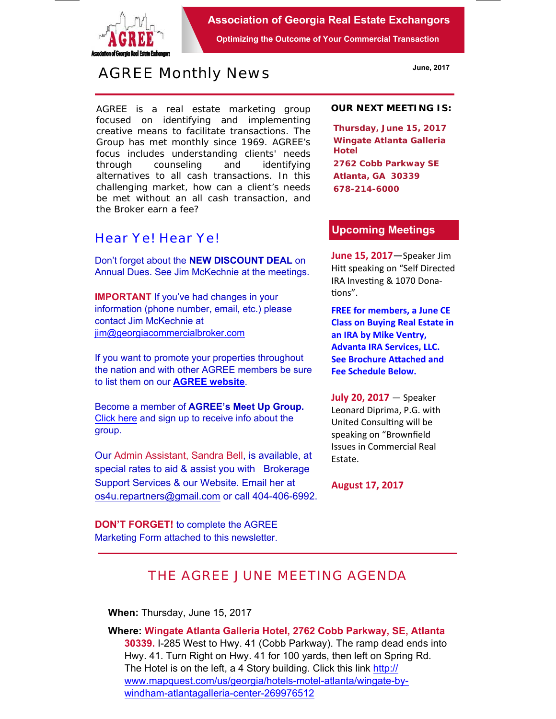

**Association of Georgia Real Estate Exchangors** 

**Optimizing the Outcome of Your Commercial Transaction** 

# *AGREE Monthly News*

AGREE is a real estate marketing group focused on identifying and implementing creative means to facilitate transactions. *The Group has met monthly since 1969.* AGREE's focus includes understanding clients' needs through counseling and identifying alternatives to all cash transactions. In this challenging market, how can a client's needs be met without an all cash transaction, and the Broker earn a fee?

### *Hear Ye! Hear Ye!*

Don't forget about the **NEW DISCOUNT DEAL** on Annual Dues. See Jim McKechnie at the meetings.

**IMPORTANT** If you've had changes in your information (phone number, email, etc.) please contact Jim McKechnie at ijm@georgiacommercialbroker.com

If you want to promote your properties throughout the nation and with other AGREE members be sure to list them on our **AGREE website**.

Become a member of **AGREE's Meet Up Group.**  Click here and sign up to receive info about the group.

Our Admin Assistant, Sandra Bell, is available, at special rates to aid & assist you with Brokerage Support Services & our Website. Email her at os4u.repartners@gmail.com or call 404-406-6992.

**DON'T FORGET!** to complete the AGREE Marketing Form attached to this newsletter.

#### **OUR NEXT MEETING IS:**

**Thursday, June 15, 2017 Wingate Atlanta Galleria Hotel 2762 Cobb Parkway SE Atlanta, GA 30339 678-214-6000** 

#### **Upcoming Meetings**

**June 15, 2017**—Speaker Jim Hitt speaking on "Self Directed IRA Investing & 1070 Donations".

**FREE for members, a June CE Class on Buying Real Estate in an IRA by Mike Ventry, Advanta IRA Services, LLC. See Brochure Attached and Fee Schedule Below.** 

**July 20, 2017** — Speaker Leonard Diprima, P.G. with United Consulting will be speaking on "Brownfield Issues in Commercial Real Estate.

**August 17, 2017** 

## *THE AGREE JUNE MEETING AGENDA*

**When:** Thursday, June 15, 2017

**Where: Wingate Atlanta Galleria Hotel, 2762 Cobb Parkway, SE, Atlanta 30339.** I-285 West to Hwy. 41 (Cobb Parkway). The ramp dead ends into Hwy. 41. Turn Right on Hwy. 41 for 100 yards, then left on Spring Rd. The Hotel is on the left, a 4 Story building. Click this link http:// www.mapquest.com/us/georgia/hotels-motel-atlanta/wingate-bywindham-atlantagalleria-center-269976512

**June, 2017**